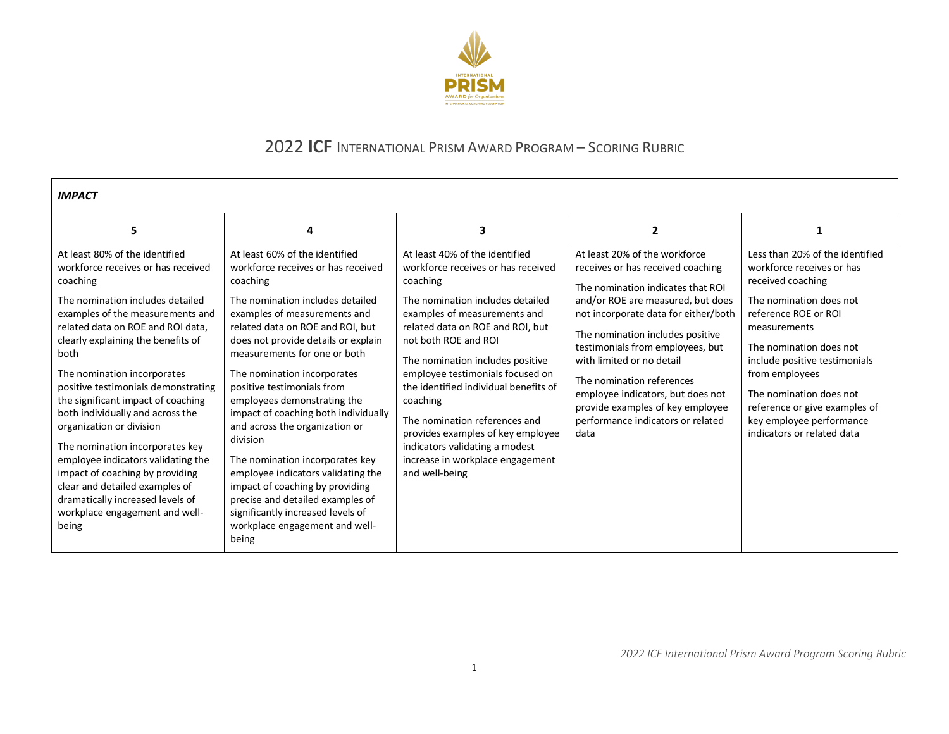

## 2022 **ICF** INTERNATIONAL PRISM AWARD PROGRAM – SCORING RUBRIC

| <b>IMPACT</b>                                                                                                                                                                                                                                                                                                                                                                                                                                                                                                                                                                                                                                        |                                                                                                                                                                                                                                                                                                                                                                                                                                                                                                                                                                                                                                                                                   |                                                                                                                                                                                                                                                                                                                                                                                                                                                                                                             |                                                                                                                                                                                                                                                                                                                                                                                                                                              |                                                                                                                                                                                                                                                                                                                                                          |
|------------------------------------------------------------------------------------------------------------------------------------------------------------------------------------------------------------------------------------------------------------------------------------------------------------------------------------------------------------------------------------------------------------------------------------------------------------------------------------------------------------------------------------------------------------------------------------------------------------------------------------------------------|-----------------------------------------------------------------------------------------------------------------------------------------------------------------------------------------------------------------------------------------------------------------------------------------------------------------------------------------------------------------------------------------------------------------------------------------------------------------------------------------------------------------------------------------------------------------------------------------------------------------------------------------------------------------------------------|-------------------------------------------------------------------------------------------------------------------------------------------------------------------------------------------------------------------------------------------------------------------------------------------------------------------------------------------------------------------------------------------------------------------------------------------------------------------------------------------------------------|----------------------------------------------------------------------------------------------------------------------------------------------------------------------------------------------------------------------------------------------------------------------------------------------------------------------------------------------------------------------------------------------------------------------------------------------|----------------------------------------------------------------------------------------------------------------------------------------------------------------------------------------------------------------------------------------------------------------------------------------------------------------------------------------------------------|
| 5                                                                                                                                                                                                                                                                                                                                                                                                                                                                                                                                                                                                                                                    |                                                                                                                                                                                                                                                                                                                                                                                                                                                                                                                                                                                                                                                                                   | 3                                                                                                                                                                                                                                                                                                                                                                                                                                                                                                           | $\overline{2}$                                                                                                                                                                                                                                                                                                                                                                                                                               |                                                                                                                                                                                                                                                                                                                                                          |
| At least 80% of the identified<br>workforce receives or has received<br>coaching<br>The nomination includes detailed<br>examples of the measurements and<br>related data on ROE and ROI data.<br>clearly explaining the benefits of<br>both<br>The nomination incorporates<br>positive testimonials demonstrating<br>the significant impact of coaching<br>both individually and across the<br>organization or division<br>The nomination incorporates key<br>employee indicators validating the<br>impact of coaching by providing<br>clear and detailed examples of<br>dramatically increased levels of<br>workplace engagement and well-<br>being | At least 60% of the identified<br>workforce receives or has received<br>coaching<br>The nomination includes detailed<br>examples of measurements and<br>related data on ROE and ROI, but<br>does not provide details or explain<br>measurements for one or both<br>The nomination incorporates<br>positive testimonials from<br>employees demonstrating the<br>impact of coaching both individually<br>and across the organization or<br>division<br>The nomination incorporates key<br>employee indicators validating the<br>impact of coaching by providing<br>precise and detailed examples of<br>significantly increased levels of<br>workplace engagement and well-<br>being | At least 40% of the identified<br>workforce receives or has received<br>coaching<br>The nomination includes detailed<br>examples of measurements and<br>related data on ROE and ROI, but<br>not both ROE and ROI<br>The nomination includes positive<br>employee testimonials focused on<br>the identified individual benefits of<br>coaching<br>The nomination references and<br>provides examples of key employee<br>indicators validating a modest<br>increase in workplace engagement<br>and well-being | At least 20% of the workforce<br>receives or has received coaching<br>The nomination indicates that ROI<br>and/or ROE are measured, but does<br>not incorporate data for either/both<br>The nomination includes positive<br>testimonials from employees, but<br>with limited or no detail<br>The nomination references<br>employee indicators, but does not<br>provide examples of key employee<br>performance indicators or related<br>data | Less than 20% of the identified<br>workforce receives or has<br>received coaching<br>The nomination does not<br>reference ROE or ROI<br>measurements<br>The nomination does not<br>include positive testimonials<br>from employees<br>The nomination does not<br>reference or give examples of<br>key employee performance<br>indicators or related data |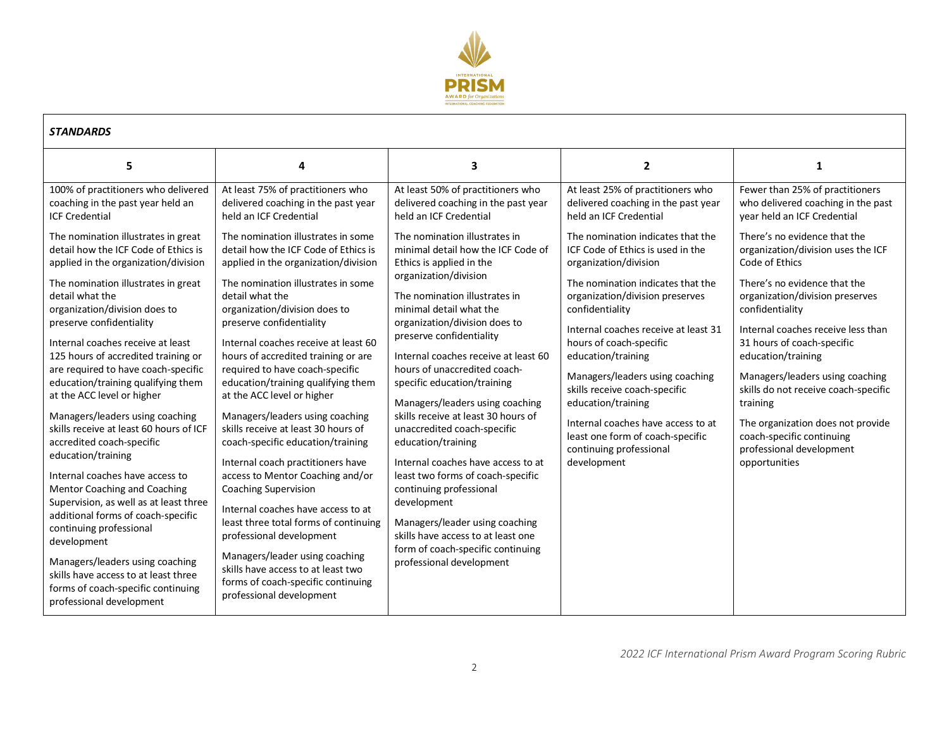

| <b>STANDARDS</b>                                                                                                                                                                                                                                                                                                                                                                                                                                                                                                                                                                                                                                                                                                                                                                                   |                                                                                                                                                                                                                                                                                                                                                                                                                                                                                                                                                                                                                                                                                                                                                                                                                                   |                                                                                                                                                                                                                                                                                                                                                                                                                                                                                                                                                                                                                                                                                                                                                       |                                                                                                                                                                                                                                                                                                                                                                                                                                                                                                   |                                                                                                                                                                                                                                                                                                                                                                                                                                                                            |
|----------------------------------------------------------------------------------------------------------------------------------------------------------------------------------------------------------------------------------------------------------------------------------------------------------------------------------------------------------------------------------------------------------------------------------------------------------------------------------------------------------------------------------------------------------------------------------------------------------------------------------------------------------------------------------------------------------------------------------------------------------------------------------------------------|-----------------------------------------------------------------------------------------------------------------------------------------------------------------------------------------------------------------------------------------------------------------------------------------------------------------------------------------------------------------------------------------------------------------------------------------------------------------------------------------------------------------------------------------------------------------------------------------------------------------------------------------------------------------------------------------------------------------------------------------------------------------------------------------------------------------------------------|-------------------------------------------------------------------------------------------------------------------------------------------------------------------------------------------------------------------------------------------------------------------------------------------------------------------------------------------------------------------------------------------------------------------------------------------------------------------------------------------------------------------------------------------------------------------------------------------------------------------------------------------------------------------------------------------------------------------------------------------------------|---------------------------------------------------------------------------------------------------------------------------------------------------------------------------------------------------------------------------------------------------------------------------------------------------------------------------------------------------------------------------------------------------------------------------------------------------------------------------------------------------|----------------------------------------------------------------------------------------------------------------------------------------------------------------------------------------------------------------------------------------------------------------------------------------------------------------------------------------------------------------------------------------------------------------------------------------------------------------------------|
| 5                                                                                                                                                                                                                                                                                                                                                                                                                                                                                                                                                                                                                                                                                                                                                                                                  | 4                                                                                                                                                                                                                                                                                                                                                                                                                                                                                                                                                                                                                                                                                                                                                                                                                                 | 3                                                                                                                                                                                                                                                                                                                                                                                                                                                                                                                                                                                                                                                                                                                                                     | $\overline{2}$                                                                                                                                                                                                                                                                                                                                                                                                                                                                                    | 1                                                                                                                                                                                                                                                                                                                                                                                                                                                                          |
| 100% of practitioners who delivered<br>coaching in the past year held an<br><b>ICF Credential</b>                                                                                                                                                                                                                                                                                                                                                                                                                                                                                                                                                                                                                                                                                                  | At least 75% of practitioners who<br>delivered coaching in the past year<br>held an ICF Credential                                                                                                                                                                                                                                                                                                                                                                                                                                                                                                                                                                                                                                                                                                                                | At least 50% of practitioners who<br>delivered coaching in the past year<br>held an ICF Credential                                                                                                                                                                                                                                                                                                                                                                                                                                                                                                                                                                                                                                                    | At least 25% of practitioners who<br>delivered coaching in the past year<br>held an ICF Credential                                                                                                                                                                                                                                                                                                                                                                                                | Fewer than 25% of practitioners<br>who delivered coaching in the past<br>year held an ICF Credential                                                                                                                                                                                                                                                                                                                                                                       |
| The nomination illustrates in great<br>detail how the ICF Code of Ethics is<br>applied in the organization/division<br>The nomination illustrates in great<br>detail what the<br>organization/division does to<br>preserve confidentiality<br>Internal coaches receive at least<br>125 hours of accredited training or<br>are required to have coach-specific<br>education/training qualifying them<br>at the ACC level or higher<br>Managers/leaders using coaching<br>skills receive at least 60 hours of ICF<br>accredited coach-specific<br>education/training<br>Internal coaches have access to<br>Mentor Coaching and Coaching<br>Supervision, as well as at least three<br>additional forms of coach-specific<br>continuing professional<br>development<br>Managers/leaders using coaching | The nomination illustrates in some<br>detail how the ICF Code of Ethics is<br>applied in the organization/division<br>The nomination illustrates in some<br>detail what the<br>organization/division does to<br>preserve confidentiality<br>Internal coaches receive at least 60<br>hours of accredited training or are<br>required to have coach-specific<br>education/training qualifying them<br>at the ACC level or higher<br>Managers/leaders using coaching<br>skills receive at least 30 hours of<br>coach-specific education/training<br>Internal coach practitioners have<br>access to Mentor Coaching and/or<br>Coaching Supervision<br>Internal coaches have access to at<br>least three total forms of continuing<br>professional development<br>Managers/leader using coaching<br>skills have access to at least two | The nomination illustrates in<br>minimal detail how the ICF Code of<br>Ethics is applied in the<br>organization/division<br>The nomination illustrates in<br>minimal detail what the<br>organization/division does to<br>preserve confidentiality<br>Internal coaches receive at least 60<br>hours of unaccredited coach-<br>specific education/training<br>Managers/leaders using coaching<br>skills receive at least 30 hours of<br>unaccredited coach-specific<br>education/training<br>Internal coaches have access to at<br>least two forms of coach-specific<br>continuing professional<br>development<br>Managers/leader using coaching<br>skills have access to at least one<br>form of coach-specific continuing<br>professional development | The nomination indicates that the<br>ICF Code of Ethics is used in the<br>organization/division<br>The nomination indicates that the<br>organization/division preserves<br>confidentiality<br>Internal coaches receive at least 31<br>hours of coach-specific<br>education/training<br>Managers/leaders using coaching<br>skills receive coach-specific<br>education/training<br>Internal coaches have access to at<br>least one form of coach-specific<br>continuing professional<br>development | There's no evidence that the<br>organization/division uses the ICF<br>Code of Ethics<br>There's no evidence that the<br>organization/division preserves<br>confidentiality<br>Internal coaches receive less than<br>31 hours of coach-specific<br>education/training<br>Managers/leaders using coaching<br>skills do not receive coach-specific<br>training<br>The organization does not provide<br>coach-specific continuing<br>professional development<br>opportunities |
| skills have access to at least three<br>forms of coach-specific continuing<br>professional development                                                                                                                                                                                                                                                                                                                                                                                                                                                                                                                                                                                                                                                                                             | forms of coach-specific continuing<br>professional development                                                                                                                                                                                                                                                                                                                                                                                                                                                                                                                                                                                                                                                                                                                                                                    |                                                                                                                                                                                                                                                                                                                                                                                                                                                                                                                                                                                                                                                                                                                                                       |                                                                                                                                                                                                                                                                                                                                                                                                                                                                                                   |                                                                                                                                                                                                                                                                                                                                                                                                                                                                            |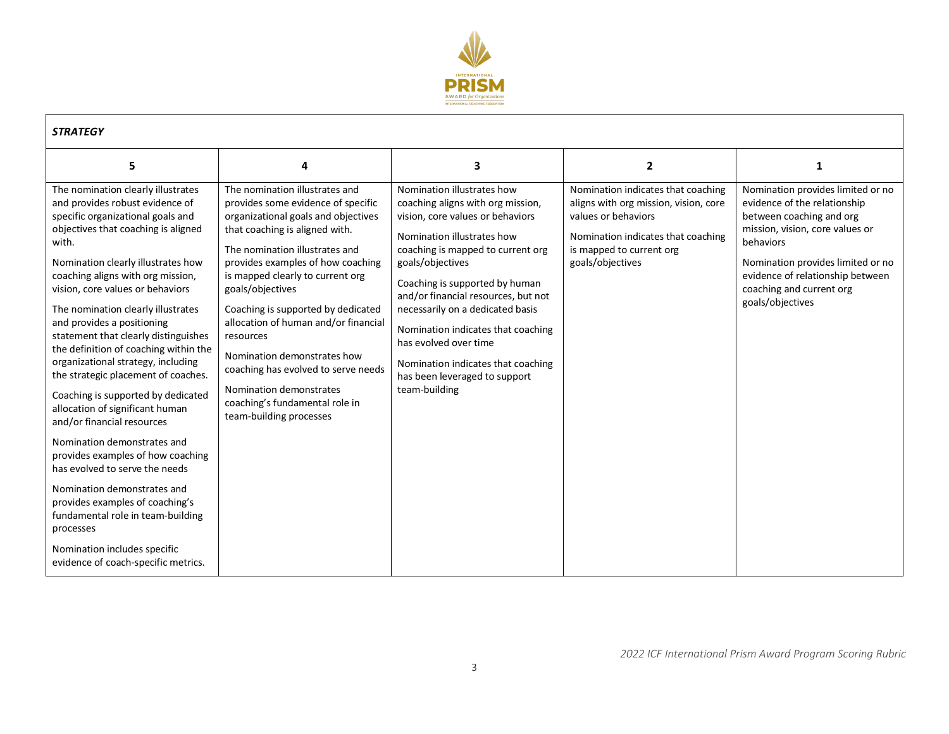

| <b>STRATEGY</b>                                                                                                                                                                                                                                                                                                                                                                                                                                                                                                                                                                                                                                                                                                                                                                                                                                                                                                     |                                                                                                                                                                                                                                                                                                                                                                                                                                                                                                                                       |                                                                                                                                                                                                                                                                                                                                                                                                                                                                |                                                                                                                                                                                          |                                                                                                                                                                                                                                                                        |
|---------------------------------------------------------------------------------------------------------------------------------------------------------------------------------------------------------------------------------------------------------------------------------------------------------------------------------------------------------------------------------------------------------------------------------------------------------------------------------------------------------------------------------------------------------------------------------------------------------------------------------------------------------------------------------------------------------------------------------------------------------------------------------------------------------------------------------------------------------------------------------------------------------------------|---------------------------------------------------------------------------------------------------------------------------------------------------------------------------------------------------------------------------------------------------------------------------------------------------------------------------------------------------------------------------------------------------------------------------------------------------------------------------------------------------------------------------------------|----------------------------------------------------------------------------------------------------------------------------------------------------------------------------------------------------------------------------------------------------------------------------------------------------------------------------------------------------------------------------------------------------------------------------------------------------------------|------------------------------------------------------------------------------------------------------------------------------------------------------------------------------------------|------------------------------------------------------------------------------------------------------------------------------------------------------------------------------------------------------------------------------------------------------------------------|
| 5                                                                                                                                                                                                                                                                                                                                                                                                                                                                                                                                                                                                                                                                                                                                                                                                                                                                                                                   | 4                                                                                                                                                                                                                                                                                                                                                                                                                                                                                                                                     | 3                                                                                                                                                                                                                                                                                                                                                                                                                                                              | $\mathbf{2}$                                                                                                                                                                             | 1                                                                                                                                                                                                                                                                      |
| The nomination clearly illustrates<br>and provides robust evidence of<br>specific organizational goals and<br>objectives that coaching is aligned<br>with.<br>Nomination clearly illustrates how<br>coaching aligns with org mission,<br>vision, core values or behaviors<br>The nomination clearly illustrates<br>and provides a positioning<br>statement that clearly distinguishes<br>the definition of coaching within the<br>organizational strategy, including<br>the strategic placement of coaches.<br>Coaching is supported by dedicated<br>allocation of significant human<br>and/or financial resources<br>Nomination demonstrates and<br>provides examples of how coaching<br>has evolved to serve the needs<br>Nomination demonstrates and<br>provides examples of coaching's<br>fundamental role in team-building<br>processes<br>Nomination includes specific<br>evidence of coach-specific metrics. | The nomination illustrates and<br>provides some evidence of specific<br>organizational goals and objectives<br>that coaching is aligned with.<br>The nomination illustrates and<br>provides examples of how coaching<br>is mapped clearly to current org<br>goals/objectives<br>Coaching is supported by dedicated<br>allocation of human and/or financial<br>resources<br>Nomination demonstrates how<br>coaching has evolved to serve needs<br>Nomination demonstrates<br>coaching's fundamental role in<br>team-building processes | Nomination illustrates how<br>coaching aligns with org mission,<br>vision, core values or behaviors<br>Nomination illustrates how<br>coaching is mapped to current org<br>goals/objectives<br>Coaching is supported by human<br>and/or financial resources, but not<br>necessarily on a dedicated basis<br>Nomination indicates that coaching<br>has evolved over time<br>Nomination indicates that coaching<br>has been leveraged to support<br>team-building | Nomination indicates that coaching<br>aligns with org mission, vision, core<br>values or behaviors<br>Nomination indicates that coaching<br>is mapped to current org<br>goals/objectives | Nomination provides limited or no<br>evidence of the relationship<br>between coaching and org<br>mission, vision, core values or<br>behaviors<br>Nomination provides limited or no<br>evidence of relationship between<br>coaching and current org<br>goals/objectives |